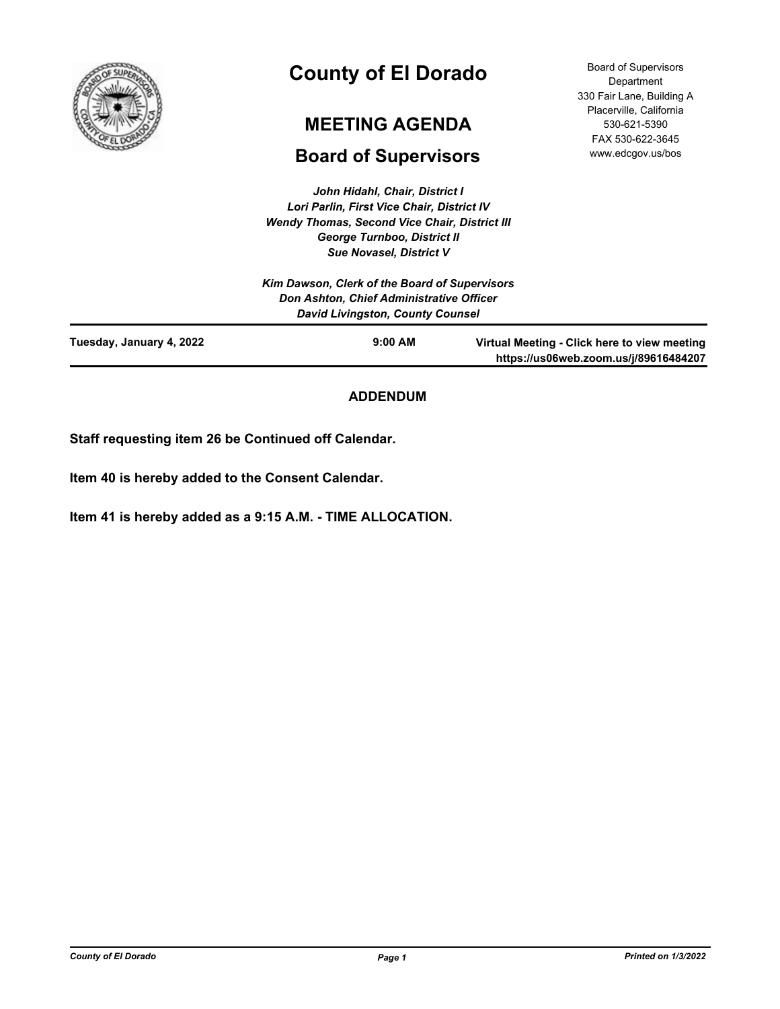

# **County of El Dorado**

# **MEETING AGENDA**

# **Board of Supervisors**

*John Hidahl, Chair, District I Lori Parlin, First Vice Chair, District IV Wendy Thomas, Second Vice Chair, District III George Turnboo, District II Sue Novasel, District V*

Board of Supervisors Department 330 Fair Lane, Building A Placerville, California 530-621-5390 FAX 530-622-3645 www.edcgov.us/bos

|                          | <b>Sue Novasel, District V</b>                |                                                                                       |
|--------------------------|-----------------------------------------------|---------------------------------------------------------------------------------------|
|                          | Kim Dawson, Clerk of the Board of Supervisors |                                                                                       |
|                          | Don Ashton, Chief Administrative Officer      |                                                                                       |
|                          | <b>David Livingston, County Counsel</b>       |                                                                                       |
| Tuesday, January 4, 2022 | $9:00$ AM                                     | Virtual Meeting - Click here to view meeting<br>https://us06web.zoom.us/j/89616484207 |

## **ADDENDUM**

**Staff requesting item 26 be Continued off Calendar.**

**Item 40 is hereby added to the Consent Calendar.**

**Item 41 is hereby added as a 9:15 A.M. - TIME ALLOCATION.**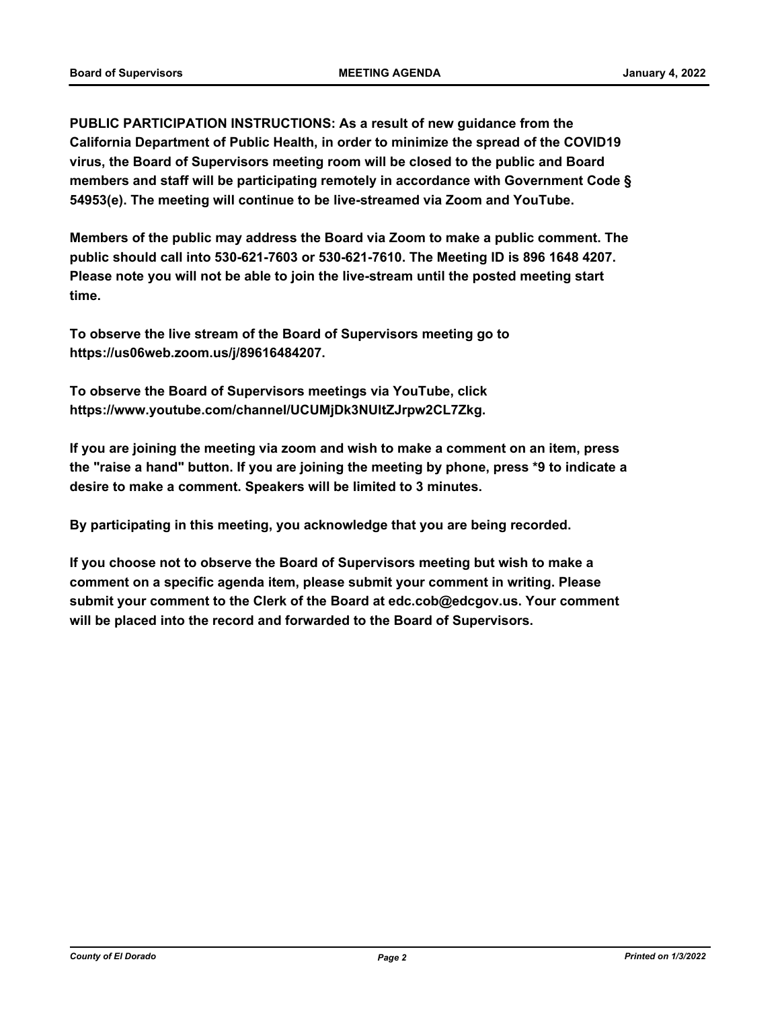**PUBLIC PARTICIPATION INSTRUCTIONS: As a result of new guidance from the California Department of Public Health, in order to minimize the spread of the COVID19 virus, the Board of Supervisors meeting room will be closed to the public and Board members and staff will be participating remotely in accordance with Government Code § 54953(e). The meeting will continue to be live-streamed via Zoom and YouTube.**

**Members of the public may address the Board via Zoom to make a public comment. The public should call into 530-621-7603 or 530-621-7610. The Meeting ID is 896 1648 4207. Please note you will not be able to join the live-stream until the posted meeting start time.**

**To observe the live stream of the Board of Supervisors meeting go to https://us06web.zoom.us/j/89616484207.**

**To observe the Board of Supervisors meetings via YouTube, click https://www.youtube.com/channel/UCUMjDk3NUltZJrpw2CL7Zkg.**

**If you are joining the meeting via zoom and wish to make a comment on an item, press the "raise a hand" button. If you are joining the meeting by phone, press \*9 to indicate a desire to make a comment. Speakers will be limited to 3 minutes.**

**By participating in this meeting, you acknowledge that you are being recorded.**

**If you choose not to observe the Board of Supervisors meeting but wish to make a comment on a specific agenda item, please submit your comment in writing. Please submit your comment to the Clerk of the Board at edc.cob@edcgov.us. Your comment will be placed into the record and forwarded to the Board of Supervisors.**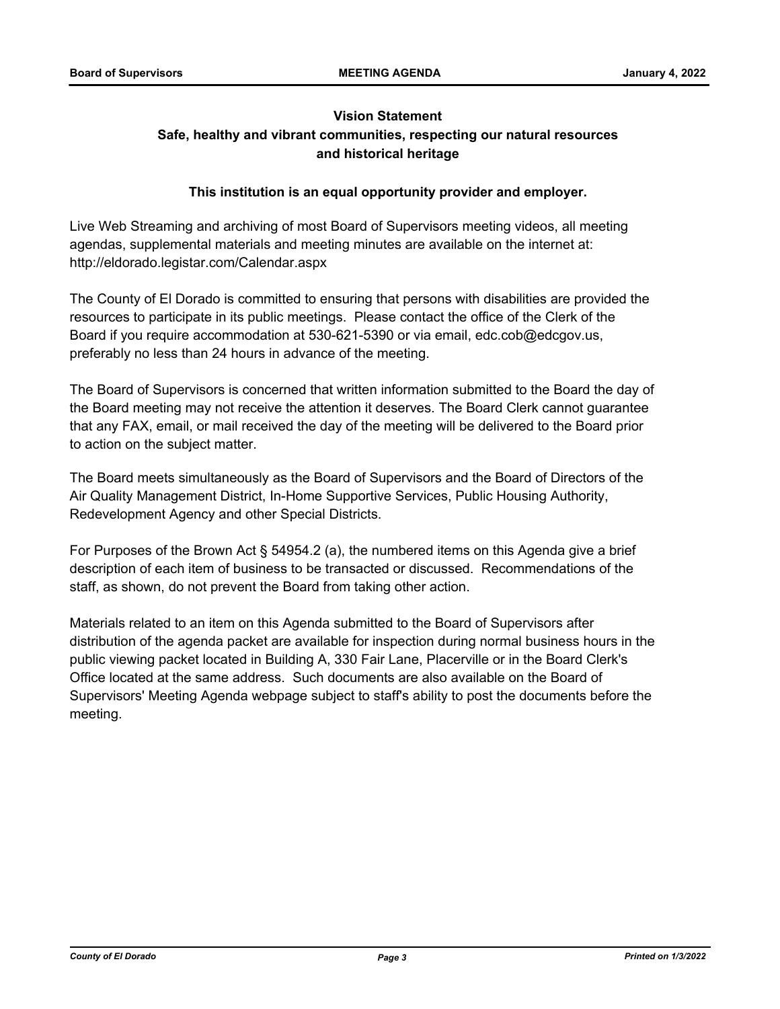## **Vision Statement Safe, healthy and vibrant communities, respecting our natural resources and historical heritage**

## **This institution is an equal opportunity provider and employer.**

Live Web Streaming and archiving of most Board of Supervisors meeting videos, all meeting agendas, supplemental materials and meeting minutes are available on the internet at: http://eldorado.legistar.com/Calendar.aspx

The County of El Dorado is committed to ensuring that persons with disabilities are provided the resources to participate in its public meetings. Please contact the office of the Clerk of the Board if you require accommodation at 530-621-5390 or via email, edc.cob@edcgov.us, preferably no less than 24 hours in advance of the meeting.

The Board of Supervisors is concerned that written information submitted to the Board the day of the Board meeting may not receive the attention it deserves. The Board Clerk cannot guarantee that any FAX, email, or mail received the day of the meeting will be delivered to the Board prior to action on the subject matter.

The Board meets simultaneously as the Board of Supervisors and the Board of Directors of the Air Quality Management District, In-Home Supportive Services, Public Housing Authority, Redevelopment Agency and other Special Districts.

For Purposes of the Brown Act § 54954.2 (a), the numbered items on this Agenda give a brief description of each item of business to be transacted or discussed. Recommendations of the staff, as shown, do not prevent the Board from taking other action.

Materials related to an item on this Agenda submitted to the Board of Supervisors after distribution of the agenda packet are available for inspection during normal business hours in the public viewing packet located in Building A, 330 Fair Lane, Placerville or in the Board Clerk's Office located at the same address. Such documents are also available on the Board of Supervisors' Meeting Agenda webpage subject to staff's ability to post the documents before the meeting.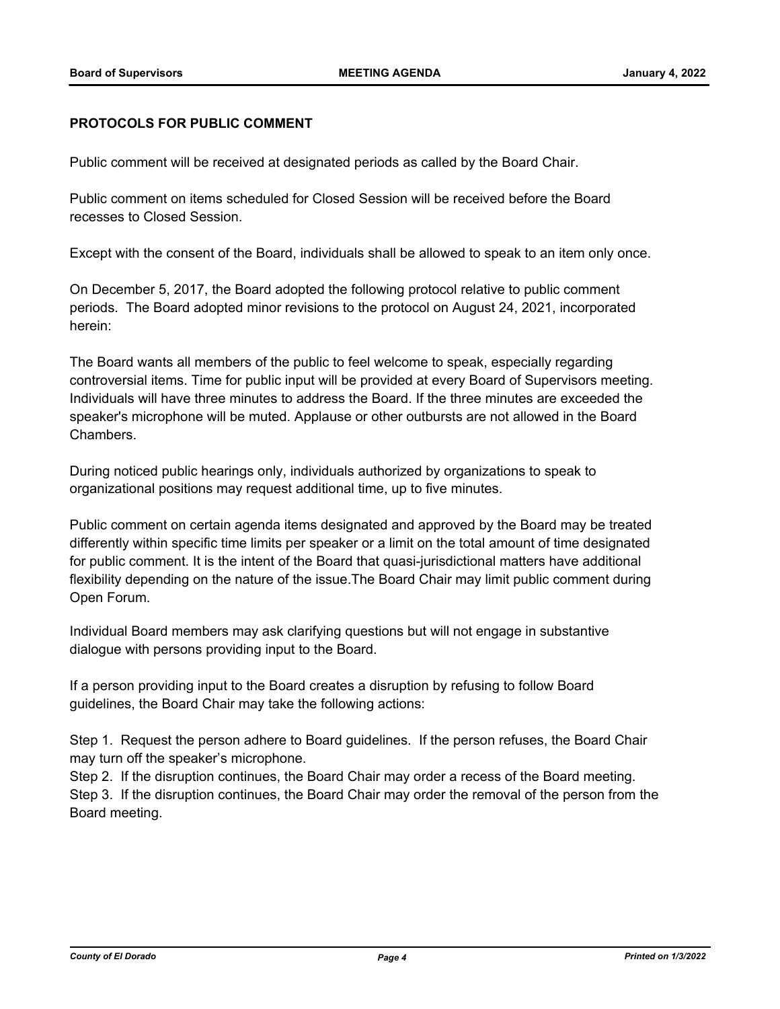## **PROTOCOLS FOR PUBLIC COMMENT**

Public comment will be received at designated periods as called by the Board Chair.

Public comment on items scheduled for Closed Session will be received before the Board recesses to Closed Session.

Except with the consent of the Board, individuals shall be allowed to speak to an item only once.

On December 5, 2017, the Board adopted the following protocol relative to public comment periods. The Board adopted minor revisions to the protocol on August 24, 2021, incorporated herein:

The Board wants all members of the public to feel welcome to speak, especially regarding controversial items. Time for public input will be provided at every Board of Supervisors meeting. Individuals will have three minutes to address the Board. If the three minutes are exceeded the speaker's microphone will be muted. Applause or other outbursts are not allowed in the Board Chambers.

During noticed public hearings only, individuals authorized by organizations to speak to organizational positions may request additional time, up to five minutes.

Public comment on certain agenda items designated and approved by the Board may be treated differently within specific time limits per speaker or a limit on the total amount of time designated for public comment. It is the intent of the Board that quasi-jurisdictional matters have additional flexibility depending on the nature of the issue.The Board Chair may limit public comment during Open Forum.

Individual Board members may ask clarifying questions but will not engage in substantive dialogue with persons providing input to the Board.

If a person providing input to the Board creates a disruption by refusing to follow Board guidelines, the Board Chair may take the following actions:

Step 1. Request the person adhere to Board guidelines. If the person refuses, the Board Chair may turn off the speaker's microphone.

Step 2. If the disruption continues, the Board Chair may order a recess of the Board meeting. Step 3. If the disruption continues, the Board Chair may order the removal of the person from the Board meeting.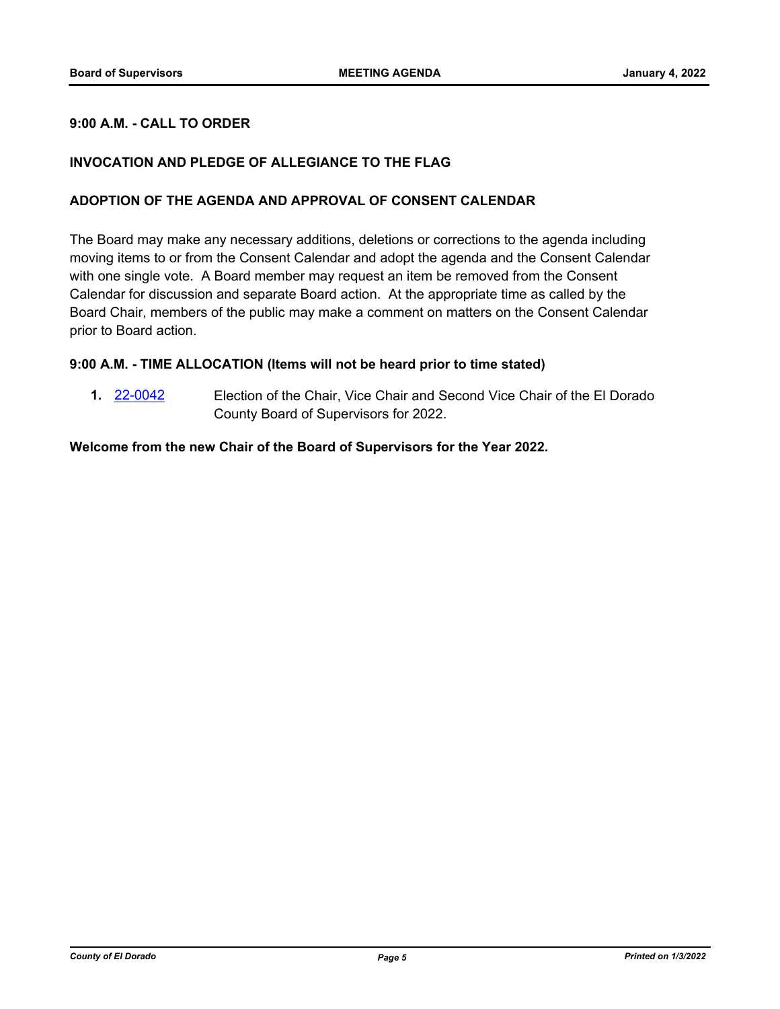## **9:00 A.M. - CALL TO ORDER**

## **INVOCATION AND PLEDGE OF ALLEGIANCE TO THE FLAG**

## **ADOPTION OF THE AGENDA AND APPROVAL OF CONSENT CALENDAR**

The Board may make any necessary additions, deletions or corrections to the agenda including moving items to or from the Consent Calendar and adopt the agenda and the Consent Calendar with one single vote. A Board member may request an item be removed from the Consent Calendar for discussion and separate Board action. At the appropriate time as called by the Board Chair, members of the public may make a comment on matters on the Consent Calendar prior to Board action.

## **9:00 A.M. - TIME ALLOCATION (Items will not be heard prior to time stated)**

**1.** [22-0042](http://eldorado.legistar.com/gateway.aspx?m=l&id=/matter.aspx?key=30942) Election of the Chair, Vice Chair and Second Vice Chair of the El Dorado County Board of Supervisors for 2022.

#### **Welcome from the new Chair of the Board of Supervisors for the Year 2022.**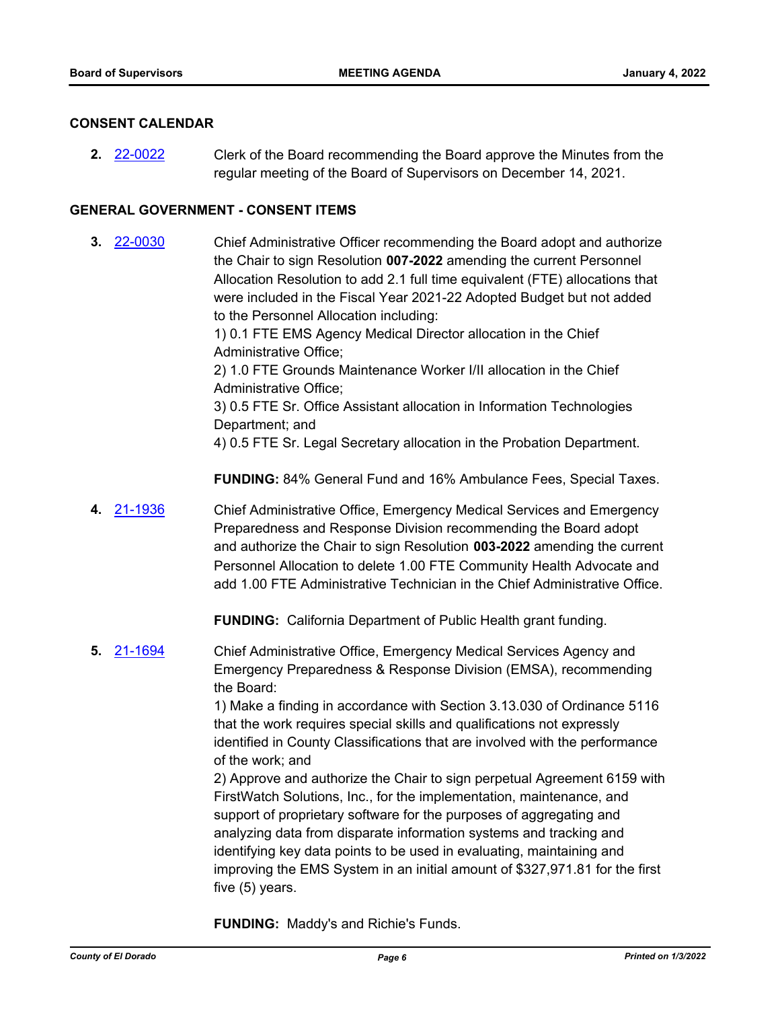#### **CONSENT CALENDAR**

**2.** [22-0022](http://eldorado.legistar.com/gateway.aspx?m=l&id=/matter.aspx?key=30922) Clerk of the Board recommending the Board approve the Minutes from the regular meeting of the Board of Supervisors on December 14, 2021.

## **GENERAL GOVERNMENT - CONSENT ITEMS**

- **3.** [22-0030](http://eldorado.legistar.com/gateway.aspx?m=l&id=/matter.aspx?key=30930) Chief Administrative Officer recommending the Board adopt and authorize the Chair to sign Resolution **007-2022** amending the current Personnel Allocation Resolution to add 2.1 full time equivalent (FTE) allocations that were included in the Fiscal Year 2021-22 Adopted Budget but not added to the Personnel Allocation including: 1) 0.1 FTE EMS Agency Medical Director allocation in the Chief Administrative Office; 2) 1.0 FTE Grounds Maintenance Worker I/II allocation in the Chief Administrative Office; 3) 0.5 FTE Sr. Office Assistant allocation in Information Technologies Department; and 4) 0.5 FTE Sr. Legal Secretary allocation in the Probation Department. **FUNDING:** 84% General Fund and 16% Ambulance Fees, Special Taxes.
- **4.** [21-1936](http://eldorado.legistar.com/gateway.aspx?m=l&id=/matter.aspx?key=30832) Chief Administrative Office, Emergency Medical Services and Emergency Preparedness and Response Division recommending the Board adopt and authorize the Chair to sign Resolution **003-2022** amending the current Personnel Allocation to delete 1.00 FTE Community Health Advocate and add 1.00 FTE Administrative Technician in the Chief Administrative Office.

**FUNDING:** California Department of Public Health grant funding.

**5.** [21-1694](http://eldorado.legistar.com/gateway.aspx?m=l&id=/matter.aspx?key=30589) Chief Administrative Office, Emergency Medical Services Agency and Emergency Preparedness & Response Division (EMSA), recommending the Board:

> 1) Make a finding in accordance with Section 3.13.030 of Ordinance 5116 that the work requires special skills and qualifications not expressly identified in County Classifications that are involved with the performance of the work; and

> 2) Approve and authorize the Chair to sign perpetual Agreement 6159 with FirstWatch Solutions, Inc., for the implementation, maintenance, and support of proprietary software for the purposes of aggregating and analyzing data from disparate information systems and tracking and identifying key data points to be used in evaluating, maintaining and improving the EMS System in an initial amount of \$327,971.81 for the first five (5) years.

**FUNDING:** Maddy's and Richie's Funds.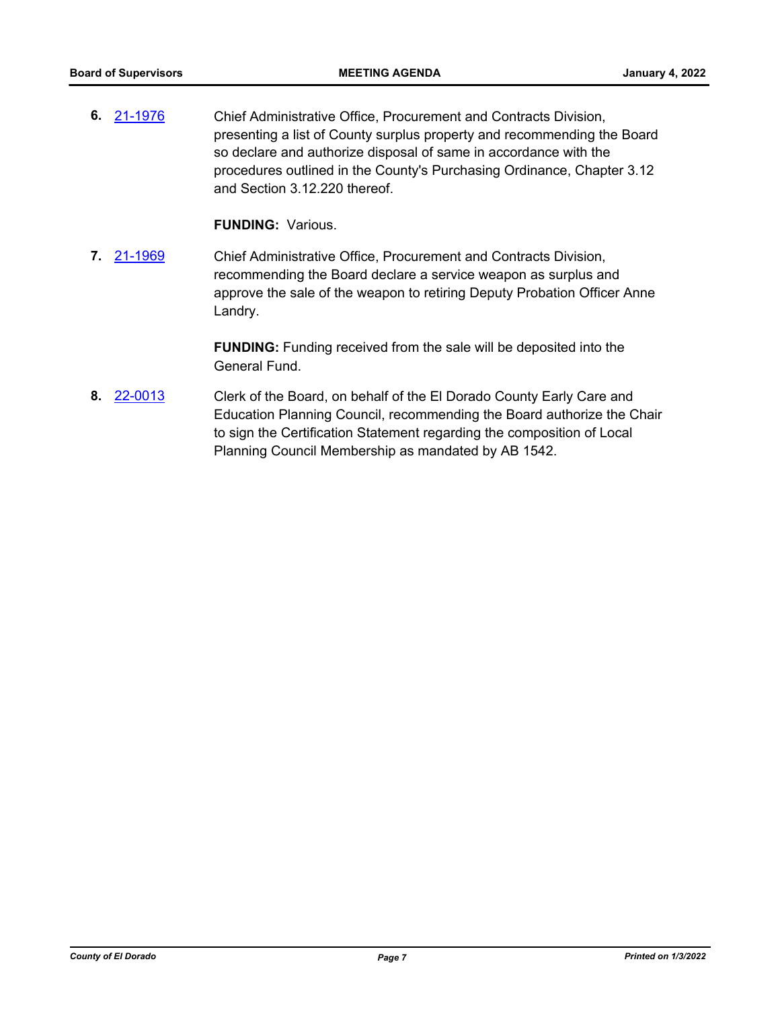**6.** [21-1976](http://eldorado.legistar.com/gateway.aspx?m=l&id=/matter.aspx?key=30872) Chief Administrative Office, Procurement and Contracts Division, presenting a list of County surplus property and recommending the Board so declare and authorize disposal of same in accordance with the procedures outlined in the County's Purchasing Ordinance, Chapter 3.12 and Section 3.12.220 thereof.

**FUNDING:** Various.

**7.** [21-1969](http://eldorado.legistar.com/gateway.aspx?m=l&id=/matter.aspx?key=30865) Chief Administrative Office, Procurement and Contracts Division, recommending the Board declare a service weapon as surplus and approve the sale of the weapon to retiring Deputy Probation Officer Anne Landry.

> **FUNDING:** Funding received from the sale will be deposited into the General Fund.

**8.** [22-0013](http://eldorado.legistar.com/gateway.aspx?m=l&id=/matter.aspx?key=30913) Clerk of the Board, on behalf of the El Dorado County Early Care and Education Planning Council, recommending the Board authorize the Chair to sign the Certification Statement regarding the composition of Local Planning Council Membership as mandated by AB 1542.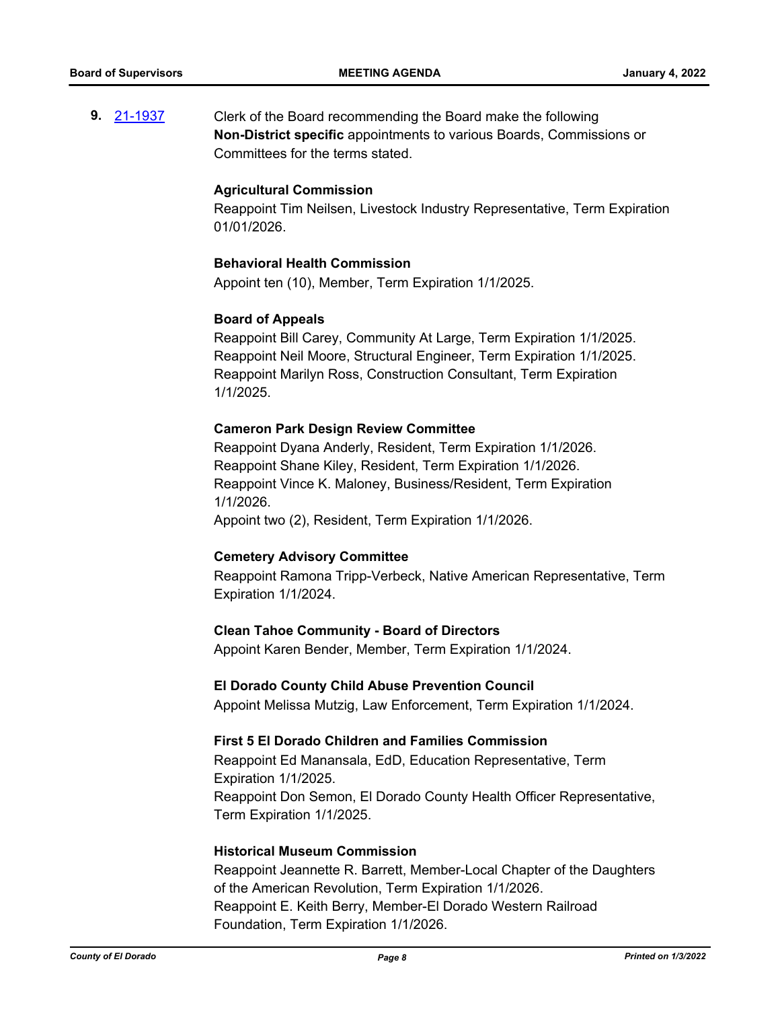**9.** [21-1937](http://eldorado.legistar.com/gateway.aspx?m=l&id=/matter.aspx?key=30833) Clerk of the Board recommending the Board make the following **Non-District specific** appointments to various Boards, Commissions or Committees for the terms stated.

#### **Agricultural Commission**

Reappoint Tim Neilsen, Livestock Industry Representative, Term Expiration 01/01/2026.

#### **Behavioral Health Commission**

Appoint ten (10), Member, Term Expiration 1/1/2025.

#### **Board of Appeals**

Reappoint Bill Carey, Community At Large, Term Expiration 1/1/2025. Reappoint Neil Moore, Structural Engineer, Term Expiration 1/1/2025. Reappoint Marilyn Ross, Construction Consultant, Term Expiration 1/1/2025.

#### **Cameron Park Design Review Committee**

Reappoint Dyana Anderly, Resident, Term Expiration 1/1/2026. Reappoint Shane Kiley, Resident, Term Expiration 1/1/2026. Reappoint Vince K. Maloney, Business/Resident, Term Expiration 1/1/2026.

Appoint two (2), Resident, Term Expiration 1/1/2026.

#### **Cemetery Advisory Committee**

Reappoint Ramona Tripp-Verbeck, Native American Representative, Term Expiration 1/1/2024.

#### **Clean Tahoe Community - Board of Directors**

Appoint Karen Bender, Member, Term Expiration 1/1/2024.

#### **El Dorado County Child Abuse Prevention Council**

Appoint Melissa Mutzig, Law Enforcement, Term Expiration 1/1/2024.

#### **First 5 El Dorado Children and Families Commission**

Reappoint Ed Manansala, EdD, Education Representative, Term Expiration 1/1/2025. Reappoint Don Semon, El Dorado County Health Officer Representative, Term Expiration 1/1/2025.

#### **Historical Museum Commission**

Reappoint Jeannette R. Barrett, Member-Local Chapter of the Daughters of the American Revolution, Term Expiration 1/1/2026. Reappoint E. Keith Berry, Member-El Dorado Western Railroad Foundation, Term Expiration 1/1/2026.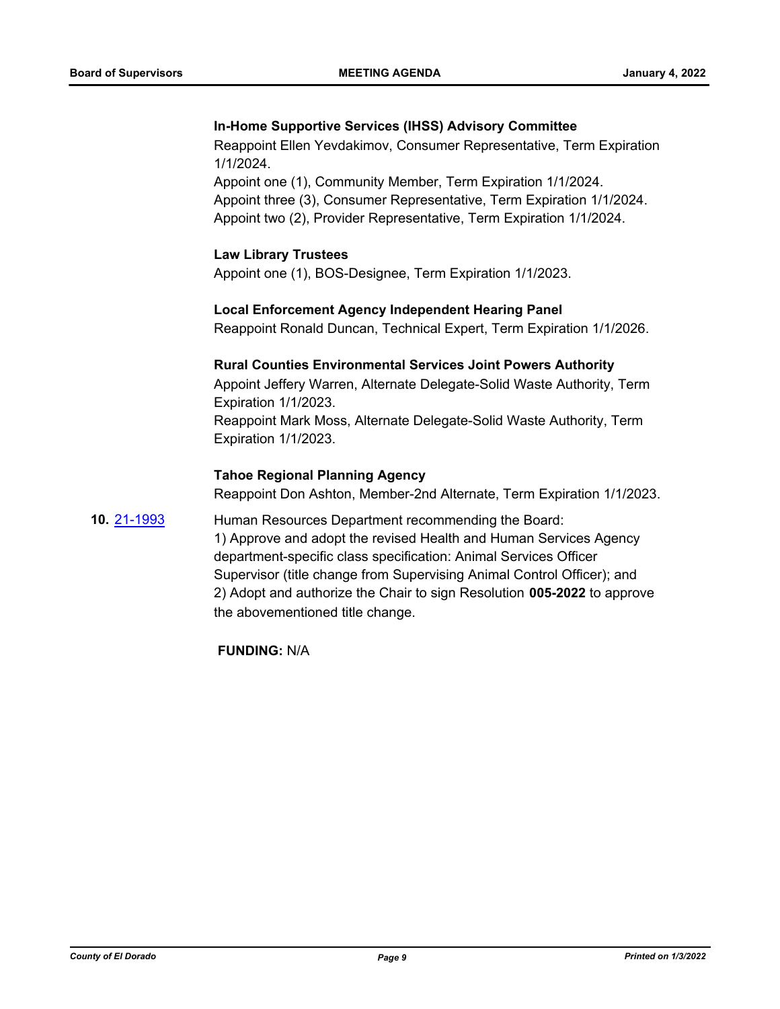## **In-Home Supportive Services (IHSS) Advisory Committee**

Reappoint Ellen Yevdakimov, Consumer Representative, Term Expiration 1/1/2024.

Appoint one (1), Community Member, Term Expiration 1/1/2024. Appoint three (3), Consumer Representative, Term Expiration 1/1/2024. Appoint two (2), Provider Representative, Term Expiration 1/1/2024.

## **Law Library Trustees**

Appoint one (1), BOS-Designee, Term Expiration 1/1/2023.

#### **Local Enforcement Agency Independent Hearing Panel**

Reappoint Ronald Duncan, Technical Expert, Term Expiration 1/1/2026.

#### **Rural Counties Environmental Services Joint Powers Authority**

Appoint Jeffery Warren, Alternate Delegate-Solid Waste Authority, Term Expiration 1/1/2023.

Reappoint Mark Moss, Alternate Delegate-Solid Waste Authority, Term Expiration 1/1/2023.

## **Tahoe Regional Planning Agency**

Reappoint Don Ashton, Member-2nd Alternate, Term Expiration 1/1/2023.

**10.** [21-1993](http://eldorado.legistar.com/gateway.aspx?m=l&id=/matter.aspx?key=30889) Human Resources Department recommending the Board: 1) Approve and adopt the revised Health and Human Services Agency department-specific class specification: Animal Services Officer Supervisor (title change from Supervising Animal Control Officer); and 2) Adopt and authorize the Chair to sign Resolution **005-2022** to approve the abovementioned title change.

**FUNDING:** N/A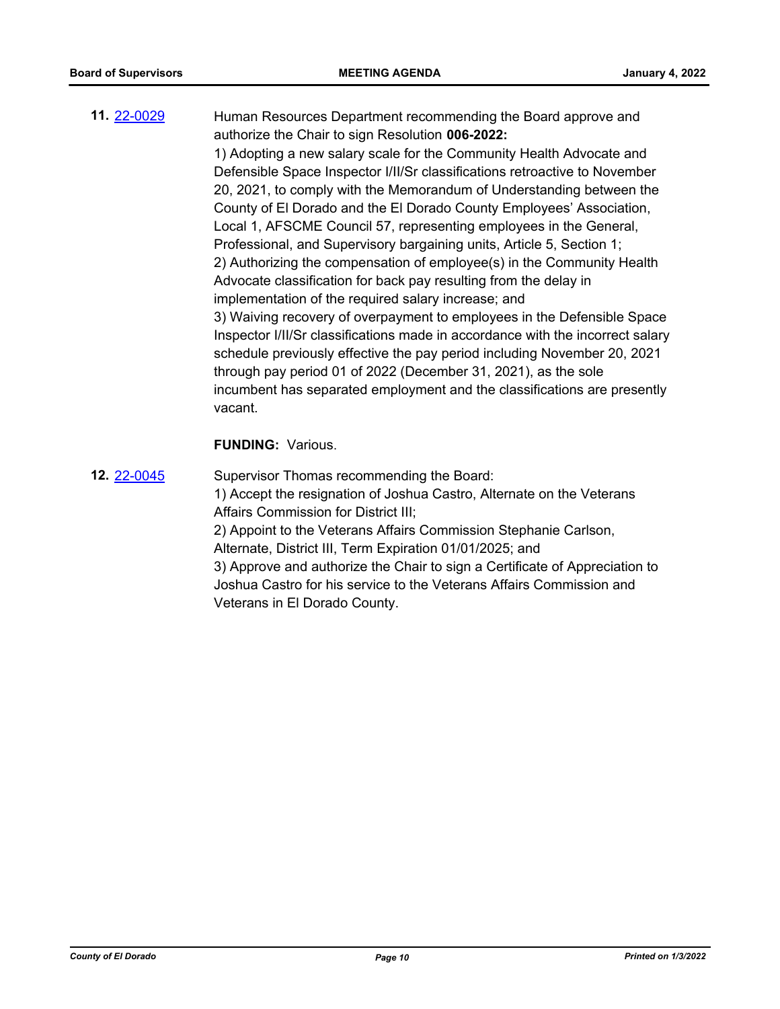**11.** [22-0029](http://eldorado.legistar.com/gateway.aspx?m=l&id=/matter.aspx?key=30929) Human Resources Department recommending the Board approve and authorize the Chair to sign Resolution **006-2022:** 1) Adopting a new salary scale for the Community Health Advocate and Defensible Space Inspector I/II/Sr classifications retroactive to November 20, 2021, to comply with the Memorandum of Understanding between the County of El Dorado and the El Dorado County Employees' Association, Local 1, AFSCME Council 57, representing employees in the General, Professional, and Supervisory bargaining units, Article 5, Section 1; 2) Authorizing the compensation of employee(s) in the Community Health Advocate classification for back pay resulting from the delay in implementation of the required salary increase; and 3) Waiving recovery of overpayment to employees in the Defensible Space Inspector I/II/Sr classifications made in accordance with the incorrect salary schedule previously effective the pay period including November 20, 2021 through pay period 01 of 2022 (December 31, 2021), as the sole incumbent has separated employment and the classifications are presently vacant.

## **FUNDING:** Various.

**12.** [22-0045](http://eldorado.legistar.com/gateway.aspx?m=l&id=/matter.aspx?key=30945) Supervisor Thomas recommending the Board: 1) Accept the resignation of Joshua Castro, Alternate on the Veterans Affairs Commission for District III; 2) Appoint to the Veterans Affairs Commission Stephanie Carlson, Alternate, District III, Term Expiration 01/01/2025; and 3) Approve and authorize the Chair to sign a Certificate of Appreciation to Joshua Castro for his service to the Veterans Affairs Commission and Veterans in El Dorado County.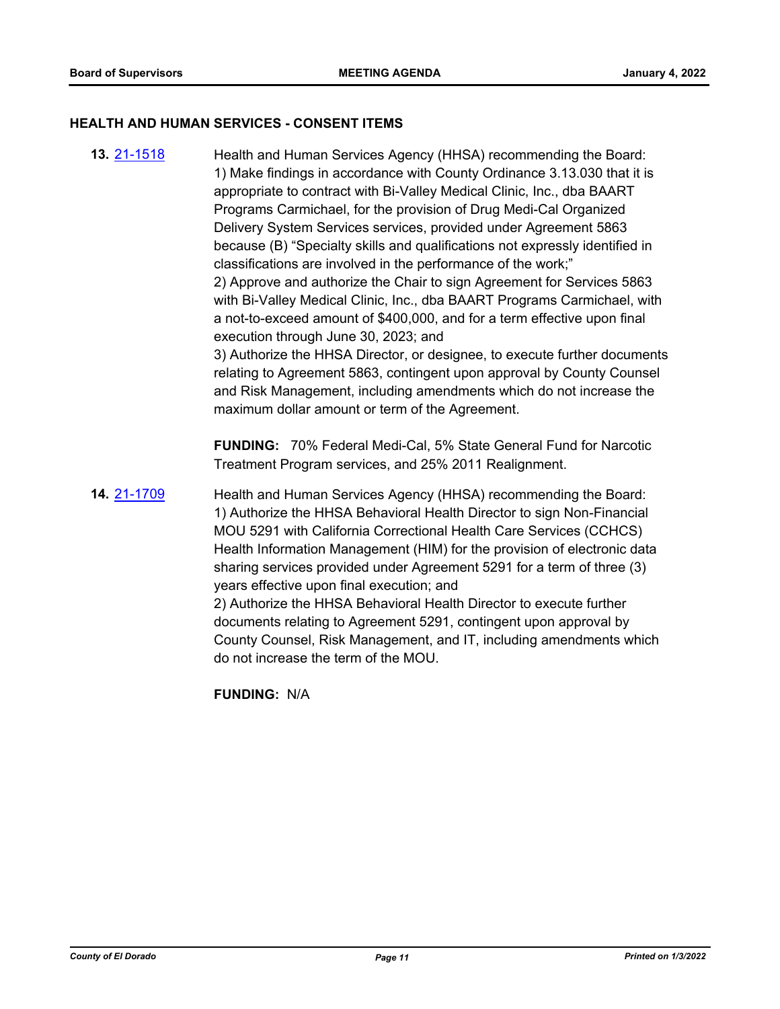#### **HEALTH AND HUMAN SERVICES - CONSENT ITEMS**

**13.** [21-1518](http://eldorado.legistar.com/gateway.aspx?m=l&id=/matter.aspx?key=30413) Health and Human Services Agency (HHSA) recommending the Board: 1) Make findings in accordance with County Ordinance 3.13.030 that it is appropriate to contract with Bi-Valley Medical Clinic, Inc., dba BAART Programs Carmichael, for the provision of Drug Medi-Cal Organized Delivery System Services services, provided under Agreement 5863 because (B) "Specialty skills and qualifications not expressly identified in classifications are involved in the performance of the work;" 2) Approve and authorize the Chair to sign Agreement for Services 5863 with Bi-Valley Medical Clinic, Inc., dba BAART Programs Carmichael, with a not-to-exceed amount of \$400,000, and for a term effective upon final execution through June 30, 2023; and 3) Authorize the HHSA Director, or designee, to execute further documents relating to Agreement 5863, contingent upon approval by County Counsel and Risk Management, including amendments which do not increase the maximum dollar amount or term of the Agreement. **FUNDING:** 70% Federal Medi-Cal, 5% State General Fund for Narcotic Treatment Program services, and 25% 2011 Realignment. **14.** [21-1709](http://eldorado.legistar.com/gateway.aspx?m=l&id=/matter.aspx?key=30604) Health and Human Services Agency (HHSA) recommending the Board: 1) Authorize the HHSA Behavioral Health Director to sign Non-Financial MOU 5291 with California Correctional Health Care Services (CCHCS) Health Information Management (HIM) for the provision of electronic data sharing services provided under Agreement 5291 for a term of three (3) years effective upon final execution; and 2) Authorize the HHSA Behavioral Health Director to execute further documents relating to Agreement 5291, contingent upon approval by County Counsel, Risk Management, and IT, including amendments which do not increase the term of the MOU. **FUNDING:** N/A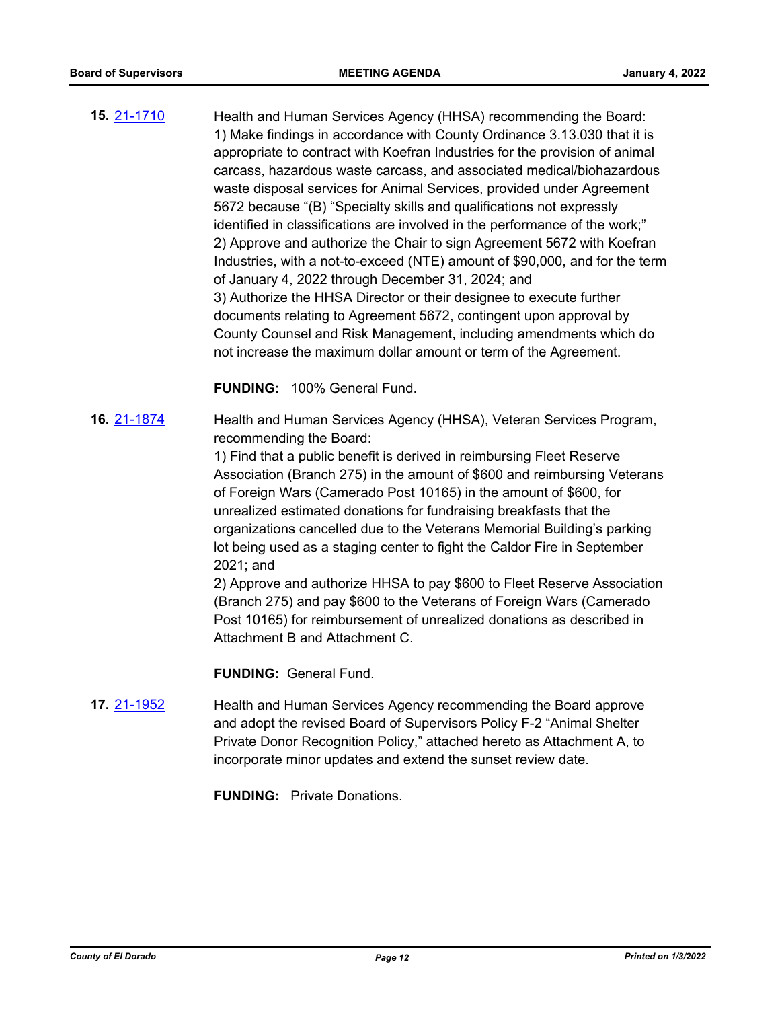**15.** [21-1710](http://eldorado.legistar.com/gateway.aspx?m=l&id=/matter.aspx?key=30605) Health and Human Services Agency (HHSA) recommending the Board: 1) Make findings in accordance with County Ordinance 3.13.030 that it is appropriate to contract with Koefran Industries for the provision of animal carcass, hazardous waste carcass, and associated medical/biohazardous waste disposal services for Animal Services, provided under Agreement 5672 because "(B) "Specialty skills and qualifications not expressly identified in classifications are involved in the performance of the work;" 2) Approve and authorize the Chair to sign Agreement 5672 with Koefran Industries, with a not-to-exceed (NTE) amount of \$90,000, and for the term of January 4, 2022 through December 31, 2024; and 3) Authorize the HHSA Director or their designee to execute further documents relating to Agreement 5672, contingent upon approval by County Counsel and Risk Management, including amendments which do not increase the maximum dollar amount or term of the Agreement.

**FUNDING:** 100% General Fund.

**16.** [21-1874](http://eldorado.legistar.com/gateway.aspx?m=l&id=/matter.aspx?key=30770) Health and Human Services Agency (HHSA), Veteran Services Program, recommending the Board:

> 1) Find that a public benefit is derived in reimbursing Fleet Reserve Association (Branch 275) in the amount of \$600 and reimbursing Veterans of Foreign Wars (Camerado Post 10165) in the amount of \$600, for unrealized estimated donations for fundraising breakfasts that the organizations cancelled due to the Veterans Memorial Building's parking lot being used as a staging center to fight the Caldor Fire in September 2021; and

> 2) Approve and authorize HHSA to pay \$600 to Fleet Reserve Association (Branch 275) and pay \$600 to the Veterans of Foreign Wars (Camerado Post 10165) for reimbursement of unrealized donations as described in Attachment B and Attachment C.

**FUNDING:** General Fund.

**17.** [21-1952](http://eldorado.legistar.com/gateway.aspx?m=l&id=/matter.aspx?key=30848) Health and Human Services Agency recommending the Board approve and adopt the revised Board of Supervisors Policy F-2 "Animal Shelter Private Donor Recognition Policy," attached hereto as Attachment A, to incorporate minor updates and extend the sunset review date.

**FUNDING:** Private Donations.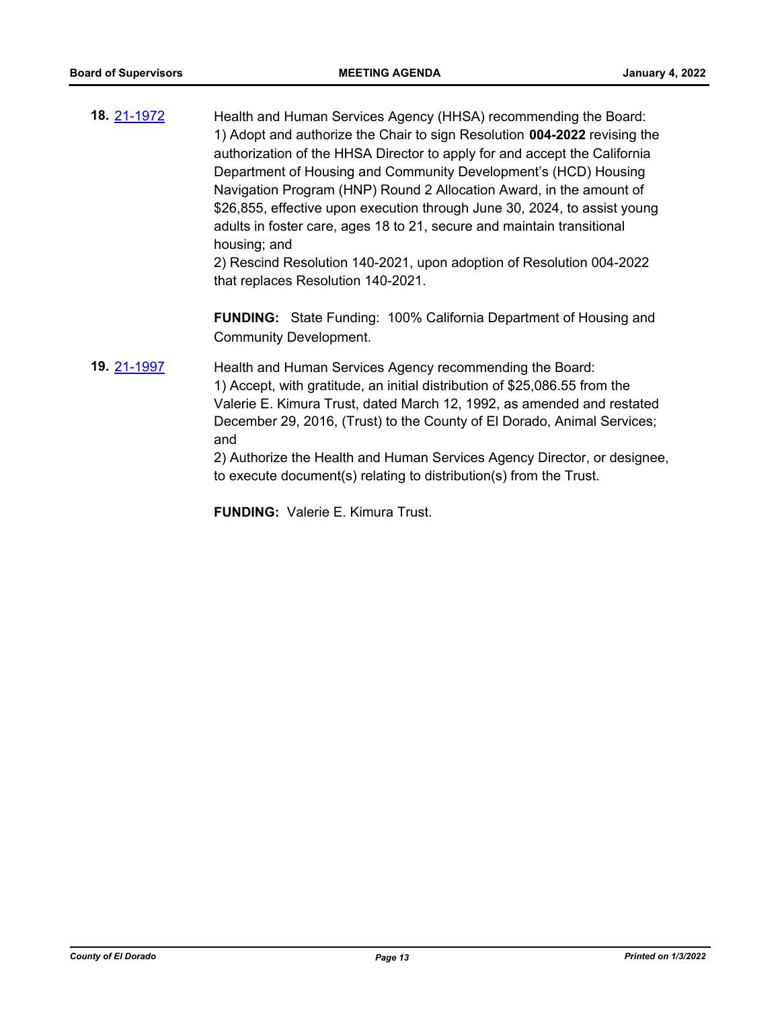**18.** [21-1972](http://eldorado.legistar.com/gateway.aspx?m=l&id=/matter.aspx?key=30868) Health and Human Services Agency (HHSA) recommending the Board: 1) Adopt and authorize the Chair to sign Resolution **004-2022** revising the authorization of the HHSA Director to apply for and accept the California Department of Housing and Community Development's (HCD) Housing Navigation Program (HNP) Round 2 Allocation Award, in the amount of \$26,855, effective upon execution through June 30, 2024, to assist young adults in foster care, ages 18 to 21, secure and maintain transitional housing; and

2) Rescind Resolution 140-2021, upon adoption of Resolution 004-2022 that replaces Resolution 140-2021.

**FUNDING:** State Funding: 100% California Department of Housing and Community Development.

**19.** [21-1997](http://eldorado.legistar.com/gateway.aspx?m=l&id=/matter.aspx?key=30893) Health and Human Services Agency recommending the Board: 1) Accept, with gratitude, an initial distribution of \$25,086.55 from the Valerie E. Kimura Trust, dated March 12, 1992, as amended and restated December 29, 2016, (Trust) to the County of El Dorado, Animal Services; and 2) Authorize the Health and Human Services Agency Director, or designee,

to execute document(s) relating to distribution(s) from the Trust.

**FUNDING:** Valerie E. Kimura Trust.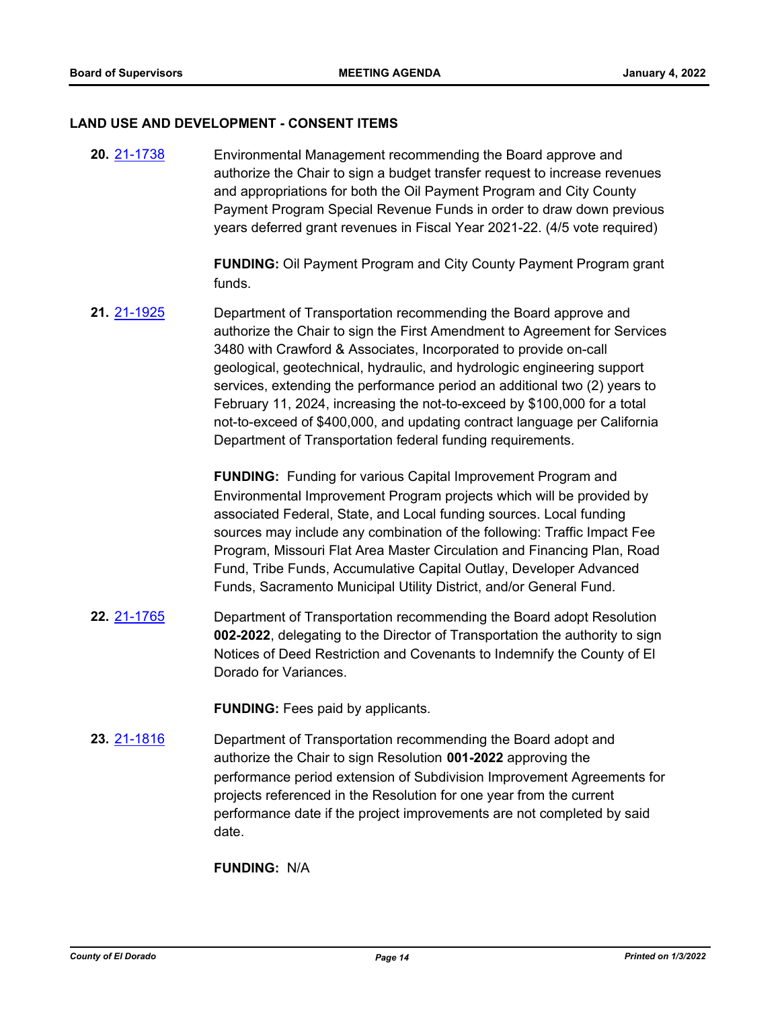#### **LAND USE AND DEVELOPMENT - CONSENT ITEMS**

**20.** [21-1738](http://eldorado.legistar.com/gateway.aspx?m=l&id=/matter.aspx?key=30633) Environmental Management recommending the Board approve and authorize the Chair to sign a budget transfer request to increase revenues and appropriations for both the Oil Payment Program and City County Payment Program Special Revenue Funds in order to draw down previous years deferred grant revenues in Fiscal Year 2021-22. (4/5 vote required)

> **FUNDING:** Oil Payment Program and City County Payment Program grant funds.

**21.** [21-1925](http://eldorado.legistar.com/gateway.aspx?m=l&id=/matter.aspx?key=30821) Department of Transportation recommending the Board approve and authorize the Chair to sign the First Amendment to Agreement for Services 3480 with Crawford & Associates, Incorporated to provide on-call geological, geotechnical, hydraulic, and hydrologic engineering support services, extending the performance period an additional two (2) years to February 11, 2024, increasing the not-to-exceed by \$100,000 for a total not-to-exceed of \$400,000, and updating contract language per California Department of Transportation federal funding requirements.

> **FUNDING:** Funding for various Capital Improvement Program and Environmental Improvement Program projects which will be provided by associated Federal, State, and Local funding sources. Local funding sources may include any combination of the following: Traffic Impact Fee Program, Missouri Flat Area Master Circulation and Financing Plan, Road Fund, Tribe Funds, Accumulative Capital Outlay, Developer Advanced Funds, Sacramento Municipal Utility District, and/or General Fund.

**22.** [21-1765](http://eldorado.legistar.com/gateway.aspx?m=l&id=/matter.aspx?key=30661) Department of Transportation recommending the Board adopt Resolution **002-2022**, delegating to the Director of Transportation the authority to sign Notices of Deed Restriction and Covenants to Indemnify the County of El Dorado for Variances.

**FUNDING:** Fees paid by applicants.

**23.** [21-1816](http://eldorado.legistar.com/gateway.aspx?m=l&id=/matter.aspx?key=30712) Department of Transportation recommending the Board adopt and authorize the Chair to sign Resolution **001-2022** approving the performance period extension of Subdivision Improvement Agreements for projects referenced in the Resolution for one year from the current performance date if the project improvements are not completed by said date.

**FUNDING:** N/A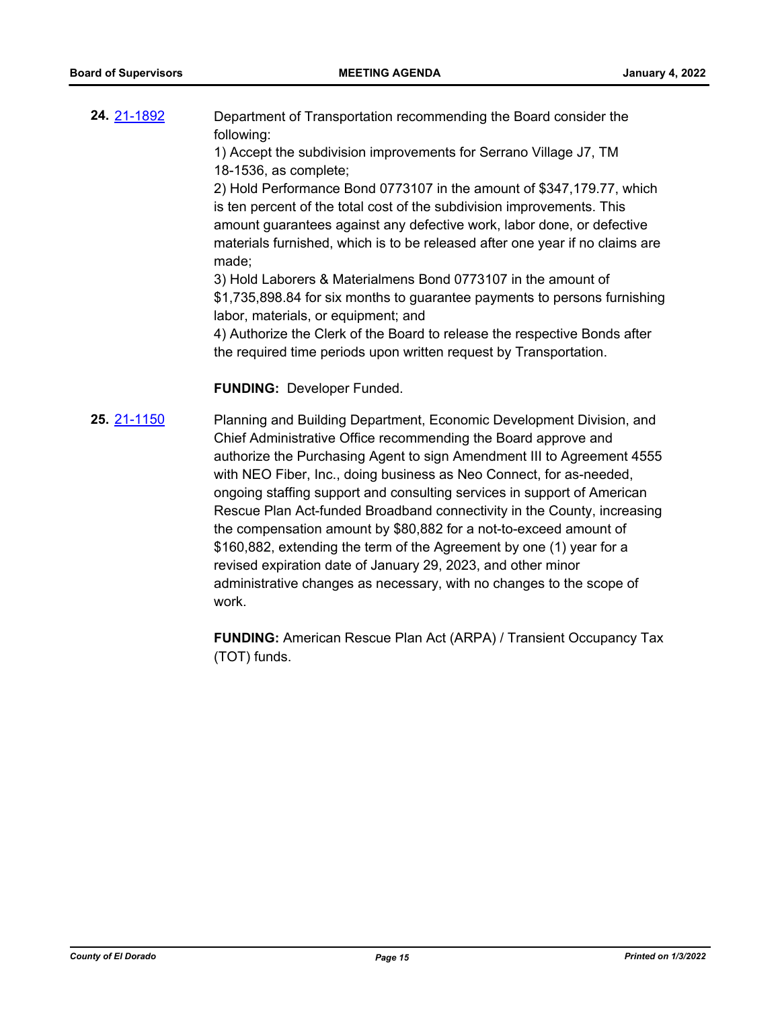| 24 21-1892 | Department of Transportation recommending the Board consider the  |
|------------|-------------------------------------------------------------------|
|            | following:                                                        |
|            | 1) Accept the subdivision improvements for Serrano Village J7, TM |

18-1536, as complete;

2) Hold Performance Bond 0773107 in the amount of \$347,179.77, which is ten percent of the total cost of the subdivision improvements. This amount guarantees against any defective work, labor done, or defective materials furnished, which is to be released after one year if no claims are made;

3) Hold Laborers & Materialmens Bond 0773107 in the amount of \$1,735,898.84 for six months to guarantee payments to persons furnishing labor, materials, or equipment; and

4) Authorize the Clerk of the Board to release the respective Bonds after the required time periods upon written request by Transportation.

#### **FUNDING:** Developer Funded.

**25.** [21-1150](http://eldorado.legistar.com/gateway.aspx?m=l&id=/matter.aspx?key=30045) Planning and Building Department, Economic Development Division, and Chief Administrative Office recommending the Board approve and authorize the Purchasing Agent to sign Amendment III to Agreement 4555 with NEO Fiber, Inc., doing business as Neo Connect, for as-needed, ongoing staffing support and consulting services in support of American Rescue Plan Act-funded Broadband connectivity in the County, increasing the compensation amount by \$80,882 for a not-to-exceed amount of \$160,882, extending the term of the Agreement by one (1) year for a revised expiration date of January 29, 2023, and other minor administrative changes as necessary, with no changes to the scope of work.

> **FUNDING:** American Rescue Plan Act (ARPA) / Transient Occupancy Tax (TOT) funds.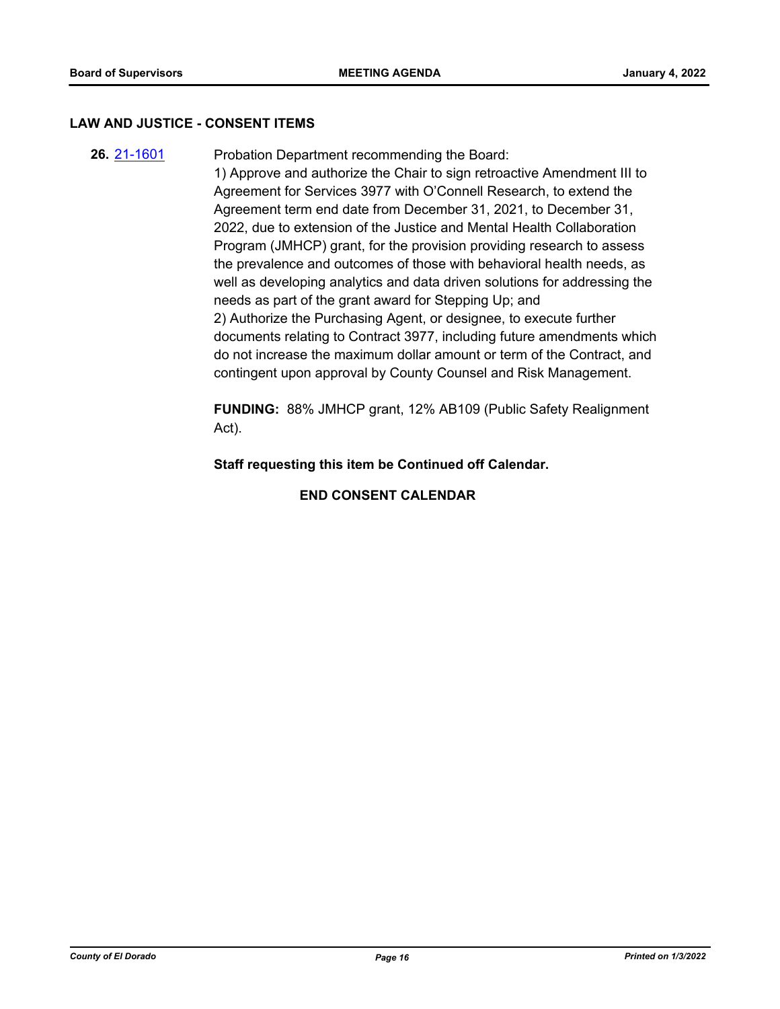#### **LAW AND JUSTICE - CONSENT ITEMS**

**26.** [21-1601](http://eldorado.legistar.com/gateway.aspx?m=l&id=/matter.aspx?key=30496) Probation Department recommending the Board: 1) Approve and authorize the Chair to sign retroactive Amendment III to Agreement for Services 3977 with O'Connell Research, to extend the Agreement term end date from December 31, 2021, to December 31, 2022, due to extension of the Justice and Mental Health Collaboration Program (JMHCP) grant, for the provision providing research to assess the prevalence and outcomes of those with behavioral health needs, as well as developing analytics and data driven solutions for addressing the needs as part of the grant award for Stepping Up; and 2) Authorize the Purchasing Agent, or designee, to execute further documents relating to Contract 3977, including future amendments which do not increase the maximum dollar amount or term of the Contract, and contingent upon approval by County Counsel and Risk Management.

> **FUNDING:** 88% JMHCP grant, 12% AB109 (Public Safety Realignment Act).

**Staff requesting this item be Continued off Calendar.**

**END CONSENT CALENDAR**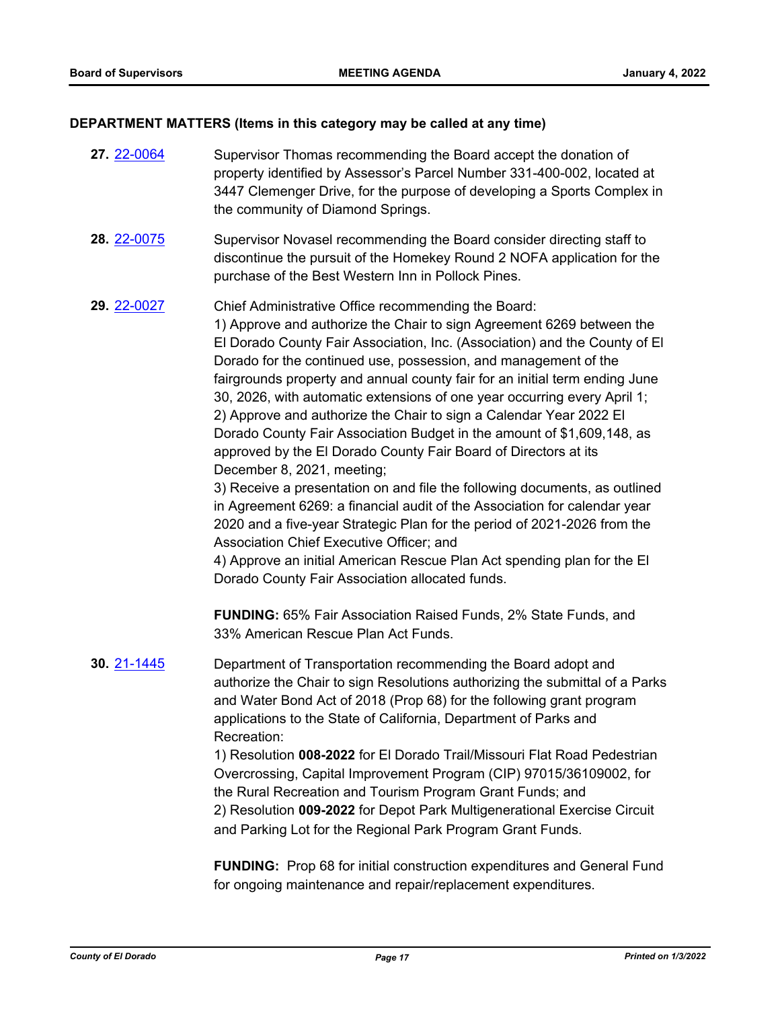# **DEPARTMENT MATTERS (Items in this category may be called at any time)**

| 27. 22-0064 | Supervisor Thomas recommending the Board accept the donation of<br>property identified by Assessor's Parcel Number 331-400-002, located at<br>3447 Clemenger Drive, for the purpose of developing a Sports Complex in<br>the community of Diamond Springs.                                                                                                                                                                                                                                                                                                                                                                                                                                                                                                                                                                                                                                                                                                                                                                                                                                                                                                                           |
|-------------|--------------------------------------------------------------------------------------------------------------------------------------------------------------------------------------------------------------------------------------------------------------------------------------------------------------------------------------------------------------------------------------------------------------------------------------------------------------------------------------------------------------------------------------------------------------------------------------------------------------------------------------------------------------------------------------------------------------------------------------------------------------------------------------------------------------------------------------------------------------------------------------------------------------------------------------------------------------------------------------------------------------------------------------------------------------------------------------------------------------------------------------------------------------------------------------|
| 28. 22-0075 | Supervisor Novasel recommending the Board consider directing staff to<br>discontinue the pursuit of the Homekey Round 2 NOFA application for the<br>purchase of the Best Western Inn in Pollock Pines.                                                                                                                                                                                                                                                                                                                                                                                                                                                                                                                                                                                                                                                                                                                                                                                                                                                                                                                                                                               |
| 29. 22-0027 | Chief Administrative Office recommending the Board:<br>1) Approve and authorize the Chair to sign Agreement 6269 between the<br>El Dorado County Fair Association, Inc. (Association) and the County of El<br>Dorado for the continued use, possession, and management of the<br>fairgrounds property and annual county fair for an initial term ending June<br>30, 2026, with automatic extensions of one year occurring every April 1;<br>2) Approve and authorize the Chair to sign a Calendar Year 2022 El<br>Dorado County Fair Association Budget in the amount of \$1,609,148, as<br>approved by the El Dorado County Fair Board of Directors at its<br>December 8, 2021, meeting;<br>3) Receive a presentation on and file the following documents, as outlined<br>in Agreement 6269: a financial audit of the Association for calendar year<br>2020 and a five-year Strategic Plan for the period of 2021-2026 from the<br>Association Chief Executive Officer; and<br>4) Approve an initial American Rescue Plan Act spending plan for the El<br>Dorado County Fair Association allocated funds.<br><b>FUNDING: 65% Fair Association Raised Funds, 2% State Funds, and</b> |
|             | 33% American Rescue Plan Act Funds.                                                                                                                                                                                                                                                                                                                                                                                                                                                                                                                                                                                                                                                                                                                                                                                                                                                                                                                                                                                                                                                                                                                                                  |
| 30. 21-1445 | Department of Transportation recommending the Board adopt and<br>authorize the Chair to sign Resolutions authorizing the submittal of a Parks<br>and Water Bond Act of 2018 (Prop 68) for the following grant program<br>applications to the State of California, Department of Parks and<br>Recreation:<br>1) Resolution 008-2022 for El Dorado Trail/Missouri Flat Road Pedestrian<br>Overcrossing, Capital Improvement Program (CIP) 97015/36109002, for<br>the Rural Recreation and Tourism Program Grant Funds; and<br>2) Resolution 009-2022 for Depot Park Multigenerational Exercise Circuit<br>and Parking Lot for the Regional Park Program Grant Funds.                                                                                                                                                                                                                                                                                                                                                                                                                                                                                                                   |
|             |                                                                                                                                                                                                                                                                                                                                                                                                                                                                                                                                                                                                                                                                                                                                                                                                                                                                                                                                                                                                                                                                                                                                                                                      |

**FUNDING:** Prop 68 for initial construction expenditures and General Fund for ongoing maintenance and repair/replacement expenditures.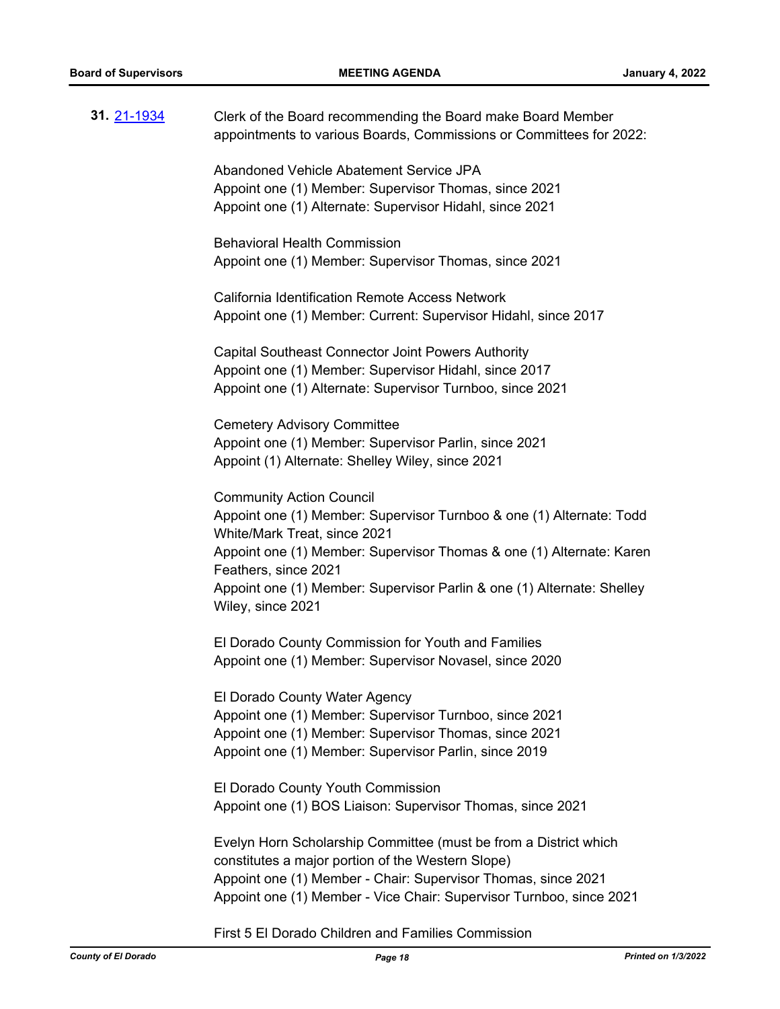| 31. 21-1934 | Clerk of the Board recommending the Board make Board Member<br>appointments to various Boards, Commissions or Committees for 2022:                                                                                                                                                                                                     |
|-------------|----------------------------------------------------------------------------------------------------------------------------------------------------------------------------------------------------------------------------------------------------------------------------------------------------------------------------------------|
|             | Abandoned Vehicle Abatement Service JPA<br>Appoint one (1) Member: Supervisor Thomas, since 2021<br>Appoint one (1) Alternate: Supervisor Hidahl, since 2021                                                                                                                                                                           |
|             | <b>Behavioral Health Commission</b><br>Appoint one (1) Member: Supervisor Thomas, since 2021                                                                                                                                                                                                                                           |
|             | California Identification Remote Access Network<br>Appoint one (1) Member: Current: Supervisor Hidahl, since 2017                                                                                                                                                                                                                      |
|             | <b>Capital Southeast Connector Joint Powers Authority</b><br>Appoint one (1) Member: Supervisor Hidahl, since 2017<br>Appoint one (1) Alternate: Supervisor Turnboo, since 2021                                                                                                                                                        |
|             | <b>Cemetery Advisory Committee</b><br>Appoint one (1) Member: Supervisor Parlin, since 2021<br>Appoint (1) Alternate: Shelley Wiley, since 2021                                                                                                                                                                                        |
|             | <b>Community Action Council</b><br>Appoint one (1) Member: Supervisor Turnboo & one (1) Alternate: Todd<br>White/Mark Treat, since 2021<br>Appoint one (1) Member: Supervisor Thomas & one (1) Alternate: Karen<br>Feathers, since 2021<br>Appoint one (1) Member: Supervisor Parlin & one (1) Alternate: Shelley<br>Wiley, since 2021 |
|             | El Dorado County Commission for Youth and Families<br>Appoint one (1) Member: Supervisor Novasel, since 2020                                                                                                                                                                                                                           |
|             | El Dorado County Water Agency<br>Appoint one (1) Member: Supervisor Turnboo, since 2021<br>Appoint one (1) Member: Supervisor Thomas, since 2021<br>Appoint one (1) Member: Supervisor Parlin, since 2019                                                                                                                              |
|             | El Dorado County Youth Commission<br>Appoint one (1) BOS Liaison: Supervisor Thomas, since 2021                                                                                                                                                                                                                                        |
|             | Evelyn Horn Scholarship Committee (must be from a District which<br>constitutes a major portion of the Western Slope)<br>Appoint one (1) Member - Chair: Supervisor Thomas, since 2021<br>Appoint one (1) Member - Vice Chair: Supervisor Turnboo, since 2021                                                                          |

First 5 El Dorado Children and Families Commission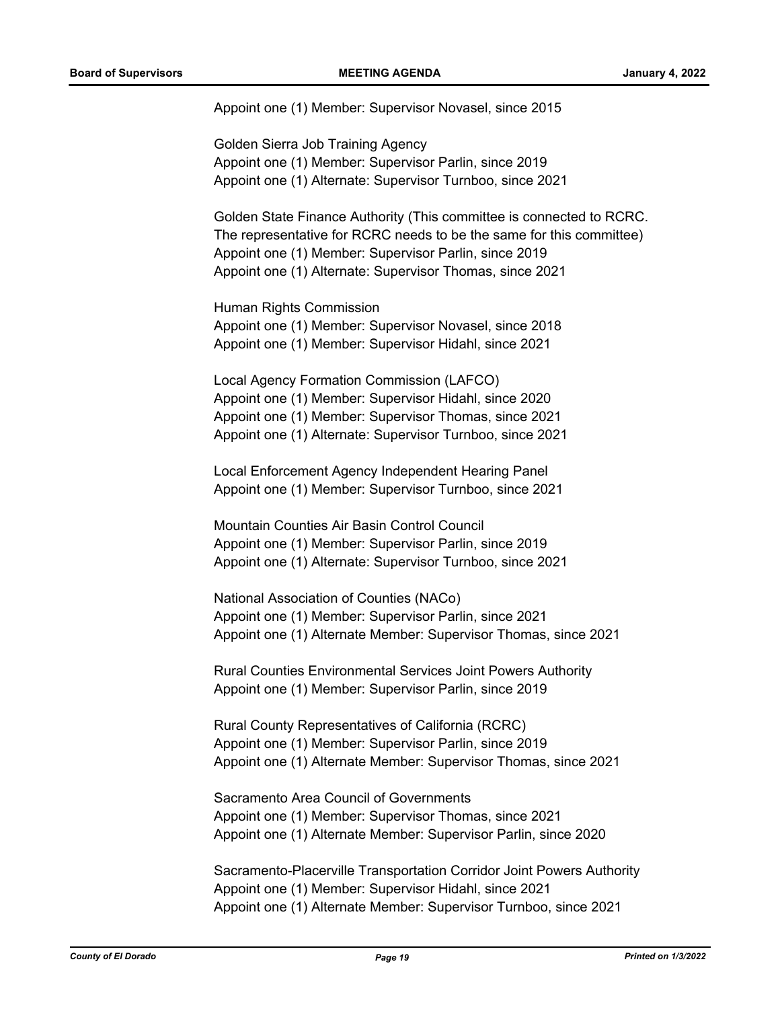Appoint one (1) Member: Supervisor Novasel, since 2015

Golden Sierra Job Training Agency Appoint one (1) Member: Supervisor Parlin, since 2019 Appoint one (1) Alternate: Supervisor Turnboo, since 2021

Golden State Finance Authority (This committee is connected to RCRC. The representative for RCRC needs to be the same for this committee) Appoint one (1) Member: Supervisor Parlin, since 2019 Appoint one (1) Alternate: Supervisor Thomas, since 2021

Human Rights Commission Appoint one (1) Member: Supervisor Novasel, since 2018 Appoint one (1) Member: Supervisor Hidahl, since 2021

Local Agency Formation Commission (LAFCO) Appoint one (1) Member: Supervisor Hidahl, since 2020 Appoint one (1) Member: Supervisor Thomas, since 2021 Appoint one (1) Alternate: Supervisor Turnboo, since 2021

Local Enforcement Agency Independent Hearing Panel Appoint one (1) Member: Supervisor Turnboo, since 2021

Mountain Counties Air Basin Control Council Appoint one (1) Member: Supervisor Parlin, since 2019 Appoint one (1) Alternate: Supervisor Turnboo, since 2021

National Association of Counties (NACo) Appoint one (1) Member: Supervisor Parlin, since 2021 Appoint one (1) Alternate Member: Supervisor Thomas, since 2021

Rural Counties Environmental Services Joint Powers Authority Appoint one (1) Member: Supervisor Parlin, since 2019

Rural County Representatives of California (RCRC) Appoint one (1) Member: Supervisor Parlin, since 2019 Appoint one (1) Alternate Member: Supervisor Thomas, since 2021

Sacramento Area Council of Governments Appoint one (1) Member: Supervisor Thomas, since 2021 Appoint one (1) Alternate Member: Supervisor Parlin, since 2020

Sacramento-Placerville Transportation Corridor Joint Powers Authority Appoint one (1) Member: Supervisor Hidahl, since 2021 Appoint one (1) Alternate Member: Supervisor Turnboo, since 2021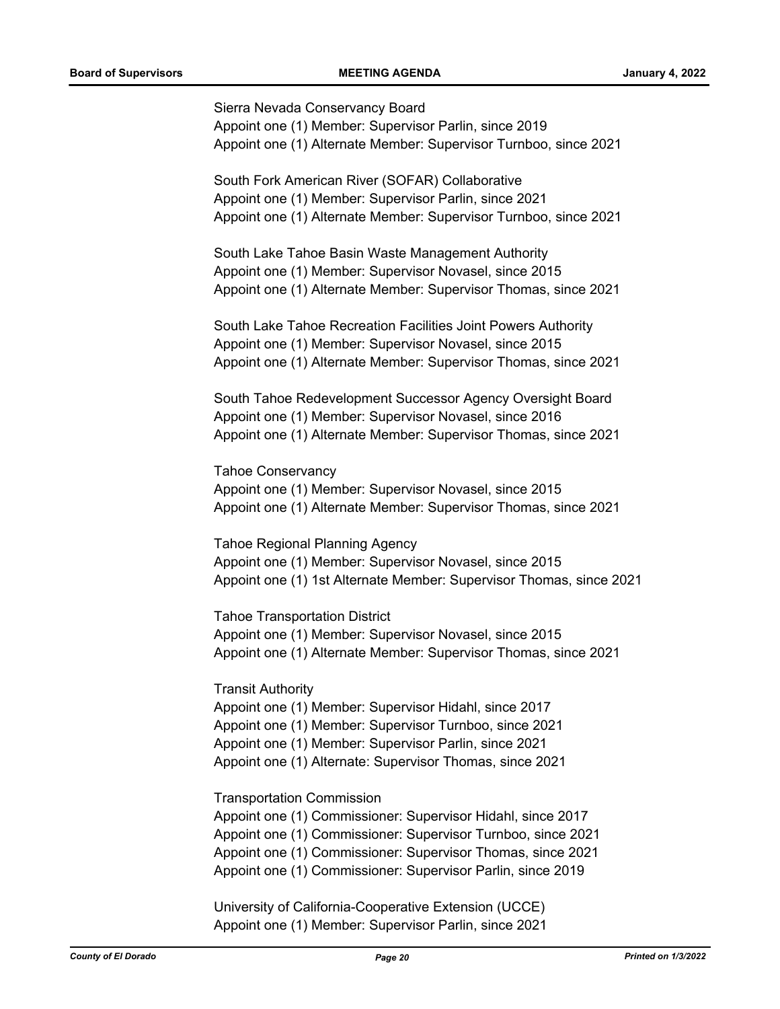Sierra Nevada Conservancy Board Appoint one (1) Member: Supervisor Parlin, since 2019 Appoint one (1) Alternate Member: Supervisor Turnboo, since 2021

South Fork American River (SOFAR) Collaborative Appoint one (1) Member: Supervisor Parlin, since 2021 Appoint one (1) Alternate Member: Supervisor Turnboo, since 2021

South Lake Tahoe Basin Waste Management Authority Appoint one (1) Member: Supervisor Novasel, since 2015 Appoint one (1) Alternate Member: Supervisor Thomas, since 2021

South Lake Tahoe Recreation Facilities Joint Powers Authority Appoint one (1) Member: Supervisor Novasel, since 2015 Appoint one (1) Alternate Member: Supervisor Thomas, since 2021

South Tahoe Redevelopment Successor Agency Oversight Board Appoint one (1) Member: Supervisor Novasel, since 2016 Appoint one (1) Alternate Member: Supervisor Thomas, since 2021

Tahoe Conservancy Appoint one (1) Member: Supervisor Novasel, since 2015 Appoint one (1) Alternate Member: Supervisor Thomas, since 2021

Tahoe Regional Planning Agency Appoint one (1) Member: Supervisor Novasel, since 2015 Appoint one (1) 1st Alternate Member: Supervisor Thomas, since 2021

Tahoe Transportation District Appoint one (1) Member: Supervisor Novasel, since 2015 Appoint one (1) Alternate Member: Supervisor Thomas, since 2021

Transit Authority

Appoint one (1) Member: Supervisor Hidahl, since 2017 Appoint one (1) Member: Supervisor Turnboo, since 2021 Appoint one (1) Member: Supervisor Parlin, since 2021 Appoint one (1) Alternate: Supervisor Thomas, since 2021

Transportation Commission

Appoint one (1) Commissioner: Supervisor Hidahl, since 2017 Appoint one (1) Commissioner: Supervisor Turnboo, since 2021 Appoint one (1) Commissioner: Supervisor Thomas, since 2021 Appoint one (1) Commissioner: Supervisor Parlin, since 2019

University of California-Cooperative Extension (UCCE) Appoint one (1) Member: Supervisor Parlin, since 2021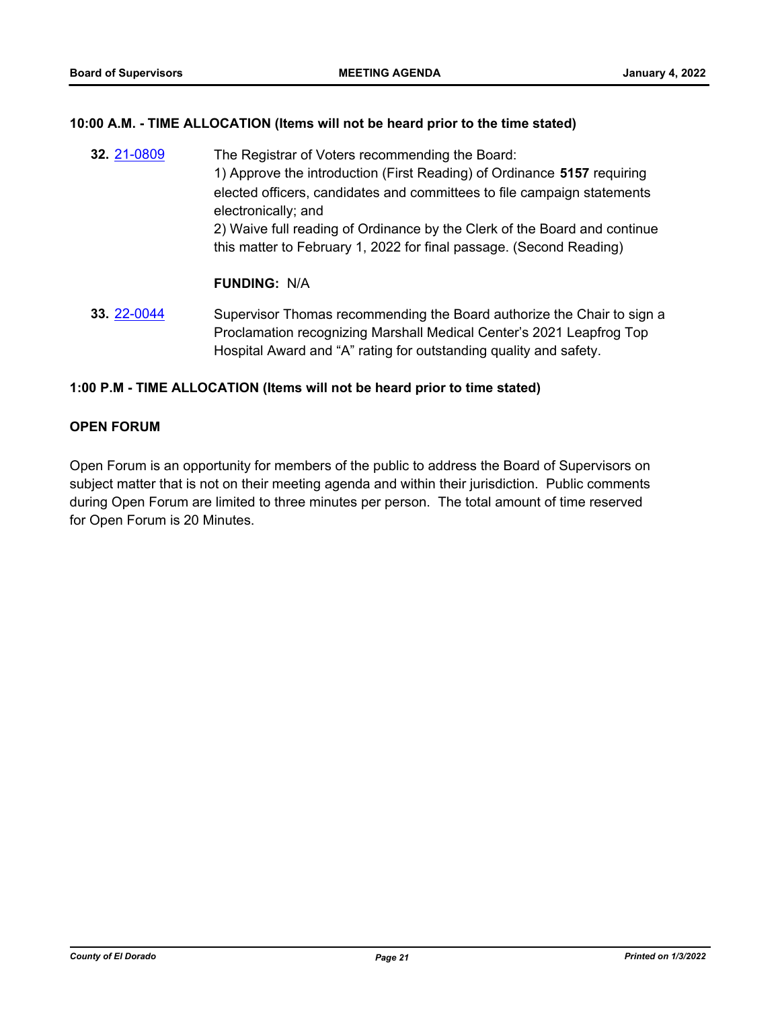## **10:00 A.M. - TIME ALLOCATION (Items will not be heard prior to the time stated)**

**32.** [21-0809](http://eldorado.legistar.com/gateway.aspx?m=l&id=/matter.aspx?key=29704) The Registrar of Voters recommending the Board: 1) Approve the introduction (First Reading) of Ordinance **5157** requiring elected officers, candidates and committees to file campaign statements electronically; and 2) Waive full reading of Ordinance by the Clerk of the Board and continue this matter to February 1, 2022 for final passage. (Second Reading)

## **FUNDING:** N/A

**33.** [22-0044](http://eldorado.legistar.com/gateway.aspx?m=l&id=/matter.aspx?key=30944) Supervisor Thomas recommending the Board authorize the Chair to sign a Proclamation recognizing Marshall Medical Center's 2021 Leapfrog Top Hospital Award and "A" rating for outstanding quality and safety.

## **1:00 P.M - TIME ALLOCATION (Items will not be heard prior to time stated)**

## **OPEN FORUM**

Open Forum is an opportunity for members of the public to address the Board of Supervisors on subject matter that is not on their meeting agenda and within their jurisdiction. Public comments during Open Forum are limited to three minutes per person. The total amount of time reserved for Open Forum is 20 Minutes.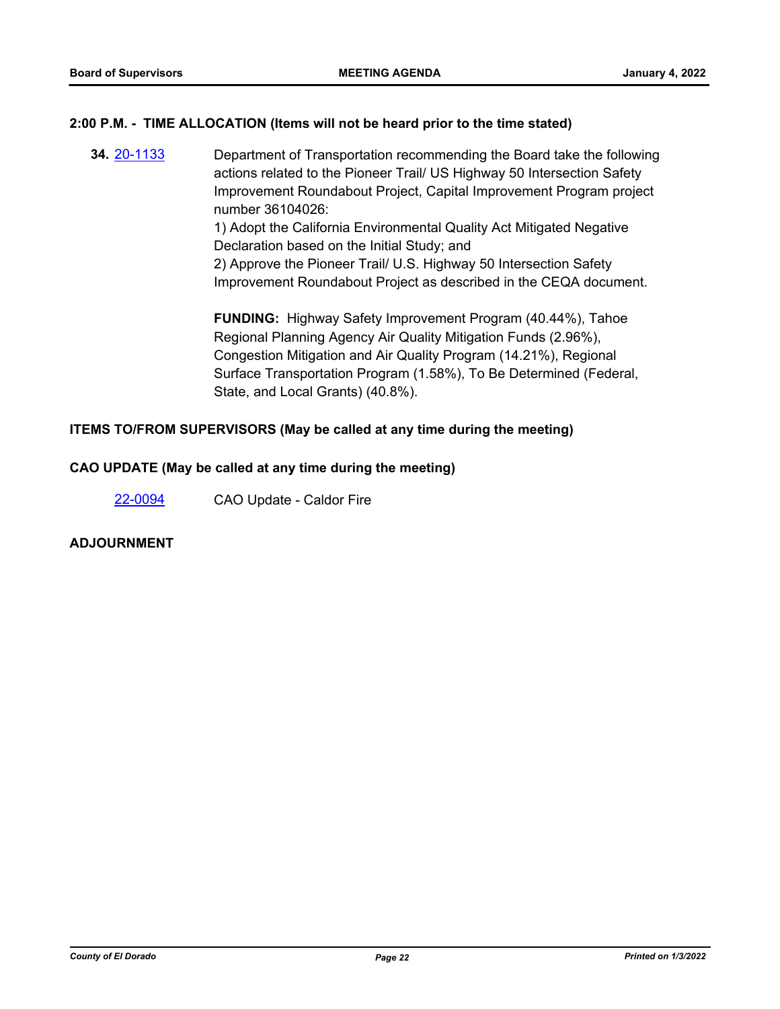## **2:00 P.M. - TIME ALLOCATION (Items will not be heard prior to the time stated)**

**34.** [20-1133](http://eldorado.legistar.com/gateway.aspx?m=l&id=/matter.aspx?key=28341) Department of Transportation recommending the Board take the following actions related to the Pioneer Trail/ US Highway 50 Intersection Safety Improvement Roundabout Project, Capital Improvement Program project number 36104026:

1) Adopt the California Environmental Quality Act Mitigated Negative Declaration based on the Initial Study; and

2) Approve the Pioneer Trail/ U.S. Highway 50 Intersection Safety Improvement Roundabout Project as described in the CEQA document.

**FUNDING:** Highway Safety Improvement Program (40.44%), Tahoe Regional Planning Agency Air Quality Mitigation Funds (2.96%), Congestion Mitigation and Air Quality Program (14.21%), Regional Surface Transportation Program (1.58%), To Be Determined (Federal, State, and Local Grants) (40.8%).

## **ITEMS TO/FROM SUPERVISORS (May be called at any time during the meeting)**

## **CAO UPDATE (May be called at any time during the meeting)**

[22-0094](http://eldorado.legistar.com/gateway.aspx?m=l&id=/matter.aspx?key=30994) CAO Update - Caldor Fire

## **ADJOURNMENT**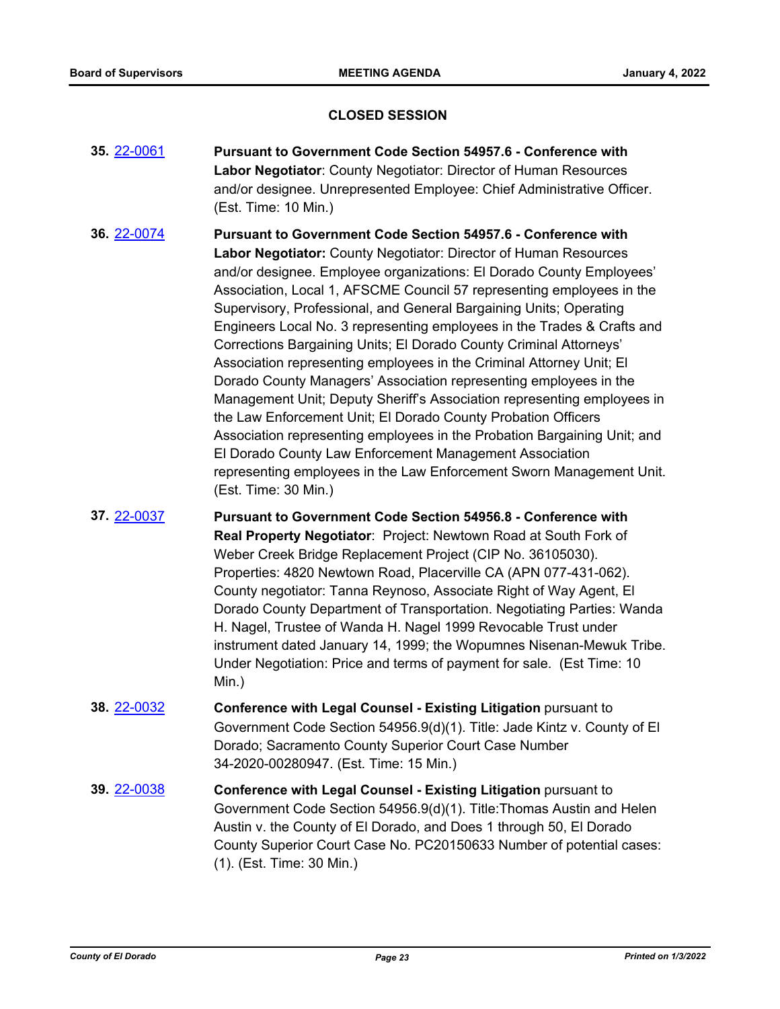## **CLOSED SESSION**

- **35.** [22-0061](http://eldorado.legistar.com/gateway.aspx?m=l&id=/matter.aspx?key=30961) **Pursuant to Government Code Section 54957.6 Conference with Labor Negotiator**: County Negotiator: Director of Human Resources and/or designee. Unrepresented Employee: Chief Administrative Officer. (Est. Time: 10 Min.)
- **36.** [22-0074](http://eldorado.legistar.com/gateway.aspx?m=l&id=/matter.aspx?key=30974) **Pursuant to Government Code Section 54957.6 Conference with Labor Negotiator:** County Negotiator: Director of Human Resources and/or designee. Employee organizations: El Dorado County Employees' Association, Local 1, AFSCME Council 57 representing employees in the Supervisory, Professional, and General Bargaining Units; Operating Engineers Local No. 3 representing employees in the Trades & Crafts and Corrections Bargaining Units; El Dorado County Criminal Attorneys' Association representing employees in the Criminal Attorney Unit; El Dorado County Managers' Association representing employees in the Management Unit; Deputy Sheriff's Association representing employees in the Law Enforcement Unit; El Dorado County Probation Officers Association representing employees in the Probation Bargaining Unit; and El Dorado County Law Enforcement Management Association representing employees in the Law Enforcement Sworn Management Unit. (Est. Time: 30 Min.)
- **37.** [22-0037](http://eldorado.legistar.com/gateway.aspx?m=l&id=/matter.aspx?key=30937) **Pursuant to Government Code Section 54956.8 Conference with Real Property Negotiator**: Project: Newtown Road at South Fork of Weber Creek Bridge Replacement Project (CIP No. 36105030). Properties: 4820 Newtown Road, Placerville CA (APN 077-431-062). County negotiator: Tanna Reynoso, Associate Right of Way Agent, El Dorado County Department of Transportation. Negotiating Parties: Wanda H. Nagel, Trustee of Wanda H. Nagel 1999 Revocable Trust under instrument dated January 14, 1999; the Wopumnes Nisenan-Mewuk Tribe. Under Negotiation: Price and terms of payment for sale. (Est Time: 10 Min.)
- **38.** [22-0032](http://eldorado.legistar.com/gateway.aspx?m=l&id=/matter.aspx?key=30932) **Conference with Legal Counsel - Existing Litigation** pursuant to Government Code Section 54956.9(d)(1). Title: Jade Kintz v. County of El Dorado; Sacramento County Superior Court Case Number 34-2020-00280947. (Est. Time: 15 Min.)
- **39.** [22-0038](http://eldorado.legistar.com/gateway.aspx?m=l&id=/matter.aspx?key=30938) **Conference with Legal Counsel - Existing Litigation** pursuant to Government Code Section 54956.9(d)(1). Title:Thomas Austin and Helen Austin v. the County of El Dorado, and Does 1 through 50, El Dorado County Superior Court Case No. PC20150633 Number of potential cases: (1). (Est. Time: 30 Min.)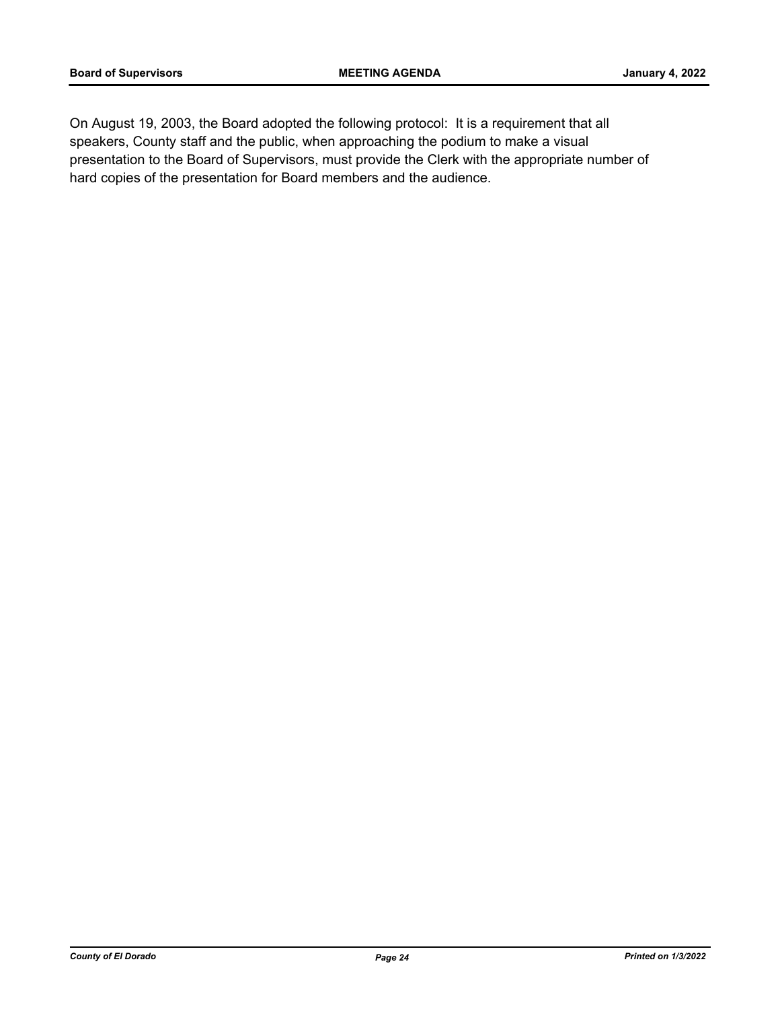On August 19, 2003, the Board adopted the following protocol: It is a requirement that all speakers, County staff and the public, when approaching the podium to make a visual presentation to the Board of Supervisors, must provide the Clerk with the appropriate number of hard copies of the presentation for Board members and the audience.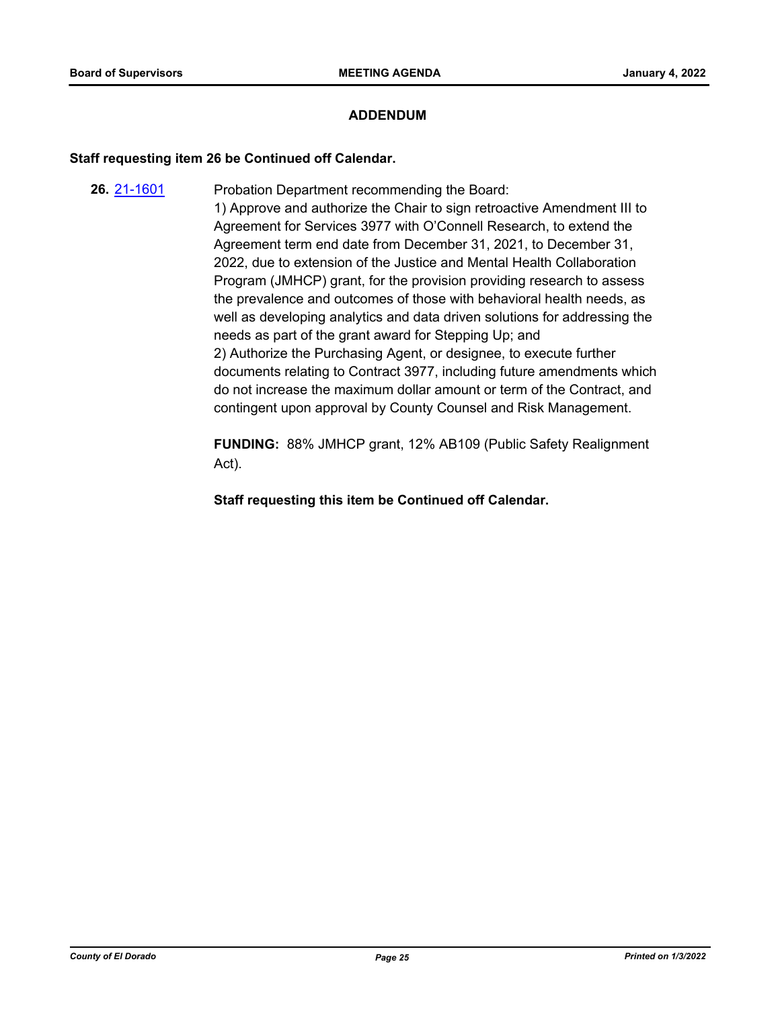## **ADDENDUM**

## **Staff requesting item 26 be Continued off Calendar.**

**26.** [21-1601](http://eldorado.legistar.com/gateway.aspx?m=l&id=/matter.aspx?key=30496) Probation Department recommending the Board: 1) Approve and authorize the Chair to sign retroactive Amendment III to Agreement for Services 3977 with O'Connell Research, to extend the Agreement term end date from December 31, 2021, to December 31, 2022, due to extension of the Justice and Mental Health Collaboration Program (JMHCP) grant, for the provision providing research to assess the prevalence and outcomes of those with behavioral health needs, as well as developing analytics and data driven solutions for addressing the needs as part of the grant award for Stepping Up; and 2) Authorize the Purchasing Agent, or designee, to execute further documents relating to Contract 3977, including future amendments which do not increase the maximum dollar amount or term of the Contract, and contingent upon approval by County Counsel and Risk Management.

> **FUNDING:** 88% JMHCP grant, 12% AB109 (Public Safety Realignment Act).

**Staff requesting this item be Continued off Calendar.**